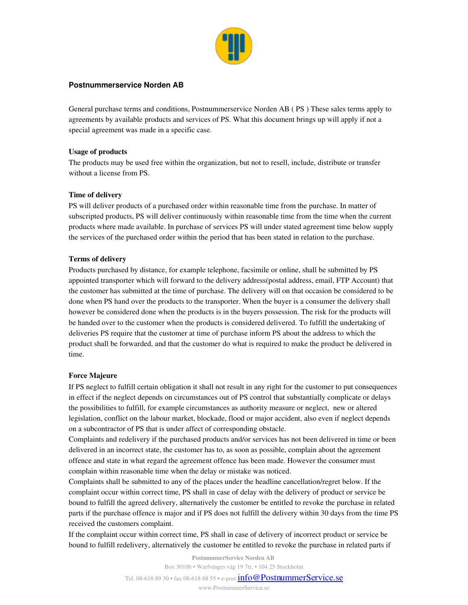

## **Postnummerservice Norden AB**

General purchase terms and conditions, Postnummerservice Norden AB ( PS ) These sales terms apply to agreements by available products and services of PS. What this document brings up will apply if not a special agreement was made in a specific case.

## Usage of products

The products may be used free within the organization, but not to resell, include, distribute or transfer without a license from PS.

# Time of delivery

PS will deliver products of a purchased order within reasonable time from the purchase. In matter of subscripted products, PS will deliver continuously within reasonable time from the time when the current products where made available. In purchase of services PS will under stated agreement time below supply the services of the purchased order within the period that has been stated in relation to the purchase.

# Terms of delivery

Products purchased by distance, for example telephone, facsimile or online, shall be submitted by PS appointed transporter which will forward to the delivery address(postal address, email, FTP Account) that the customer has submitted at the time of purchase. The delivery will on that occasion be considered to be done when PS hand over the products to the transporter. When the buyer is a consumer the delivery shall however be considered done when the products is in the buyers possession. The risk for the products will be handed over to the customer when the products is considered delivered. To fulfill the undertaking of deliveries PS require that the customer at time of purchase inform PS about the address to which the product shall be forwarded, and that the customer do what is required to make the product be delivered in time.

## Force Majeure

If PS neglect to fulfill certain obligation it shall not result in any right for the customer to put consequences in effect if the neglect depends on circumstances out of PS control that substantially complicate or delays the possibilities to fulfill, for example circumstances as authority measure or neglect, new or altered legislation, conflict on the labour market, blockade, flood or major accident, also even if neglect depends on a subcontractor of PS that is under affect of corresponding obstacle.

Complaints and redelivery if the purchased products and/or services has not been delivered in time or been delivered in an incorrect state, the customer has to, as soon as possible, complain about the agreement offence and state in what regard the agreement offence has been made. However the consumer must complain within reasonable time when the delay or mistake was noticed.

Complaints shall be submitted to any of the places under the headline cancellation/regret below. If the complaint occur within correct time, PS shall in case of delay with the delivery of product or service be bound to fulfill the agreed delivery, alternatively the customer be entitled to revoke the purchase in related parts if the purchase offence is major and if PS does not fulfill the delivery within 30 days from the time PS received the customers complaint.

If the complaint occur within correct time, PS shall in case of delivery of incorrect product or service be bound to fulfill redelivery, alternatively the customer be entitled to revoke the purchase in related parts if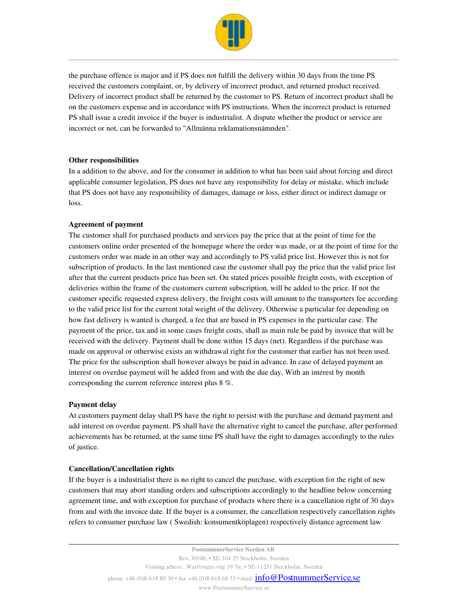

the purchase offence is major and if PS does not fulfill the delivery within 30 days from the time PS received the customers complaint, or, by delivery of incorrect product, and returned product received. Delivery of incorrect product shall be returned by the customer to PS. Return of incorrect product shall be on the customers expense and in accordance with PS instructions. When the incorrect product is returned PS shall issue a credit invoice if the buyer is industrialist. A dispute whether the product or service are incorrect or not, can be forwarded to "Allmänna reklamationsnämnden".

## Other responsibilities

In a addition to the above, and for the consumer in addition to what has been said about forcing and direct applicable consumer legislation, PS does not have any responsibility for delay or mistake, which include that PS does not have any responsibility of damages, damage or loss, either direct or indirect damage or loss.

### Agreement of payment

The customer shall for purchased products and services pay the price that at the point of time for the customers online order presented of the homepage where the order was made, or at the point of time for the customers order was made in an other way and accordingly to PS valid price list. However this is not for subscription of products. In the last mentioned case the customer shall pay the price that the valid price list after that the current products price has been set. On stated prices possible freight costs, with exception of deliveries within the frame of the customers current subscription, will be added to the price. If not the customer specific requested express delivery, the freight costs will amount to the transporters fee according to the valid price list for the current total weight of the delivery. Otherwise a particular fee depending on how fast delivery is wanted is charged, a fee that are based in PS expenses in the particular case. The payment of the price, tax and in some cases freight costs, shall as main rule be paid by invoice that will be received with the delivery. Payment shall be done within 15 days (net). Regardless if the purchase was made on approval or otherwise exists an withdrawal right for the customer that earlier has not been used. The price for the subscription shall however always be paid in advance. In case of delayed payment an interest on overdue payment will be added from and with the due day, With an interest by month corresponding the current reference interest plus 8 %.

### Payment delay

At customers payment delay shall PS have the right to persist with the purchase and demand payment and add interest on overdue payment. PS shall have the alternative right to cancel the purchase, after performed achievements has be returned, at the same time PS shall have the right to damages accordingly to the rules of justice.

### Cancellation/Cancellation rights

If the buyer is a industrialist there is no right to cancel the purchase, with exception for the right of new customers that may abort standing orders and subscriptions accordingly to the headline below concerning agreement time, and with exception for purchase of products where there is a cancellation right of 30 days from and with the invoice date. If the buyer is a consumer, the cancellation respectively cancellation rights refers to consumer purchase law ( Swedish: konsumentköplagen) respectively distance agreement law

phone. +46 (0)8-618 89 30 • fax +46 (0)8-618 68 55 • mail:  $info@PostnumberService.se$